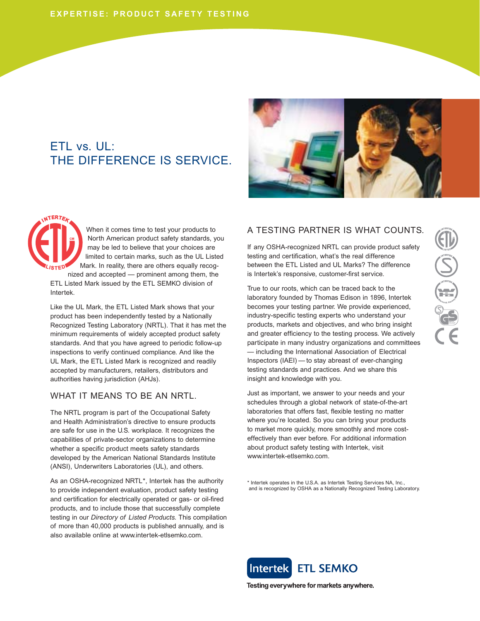# ETL vs. UL: THE DIFFERENCE IS SERVICE.



When it comes time to test your products to North American product safety standards, you may be led to believe that your choices are limited to certain marks, such as the UL Listed Mark. In reality, there are others equally recognized and accepted — prominent among them, the

ETL Listed Mark issued by the ETL SEMKO division of Intertek.

Like the UL Mark, the ETL Listed Mark shows that your product has been independently tested by a Nationally Recognized Testing Laboratory (NRTL). That it has met the minimum requirements of widely accepted product safety standards. And that you have agreed to periodic follow-up inspections to verify continued compliance. And like the UL Mark, the ETL Listed Mark is recognized and readily accepted by manufacturers, retailers, distributors and authorities having jurisdiction (AHJs).

#### WHAT IT MEANS TO BE AN NRTL.

The NRTL program is part of the Occupational Safety and Health Administration's directive to ensure products are safe for use in the U.S. workplace. It recognizes the capabilities of private-sector organizations to determine whether a specific product meets safety standards developed by the American National Standards Institute (ANSI), Underwriters Laboratories (UL), and others.

As an OSHA-recognized NRTL\*, Intertek has the authority to provide independent evaluation, product safety testing and certification for electrically operated or gas- or oil-fired products, and to include those that successfully complete testing in our *Directory of Listed Products.* This compilation of more than 40,000 products is published annually, and is also available online at www.intertek-etlsemko.com.

# A TESTING PARTNER IS WHAT COUNTS.

If any OSHA-recognized NRTL can provide product safety testing and certification, what's the real difference between the ETL Listed and UL Marks? The difference is Intertek's responsive, customer-first service.

True to our roots, which can be traced back to the laboratory founded by Thomas Edison in 1896, Intertek becomes your testing partner. We provide experienced, industry-specific testing experts who understand your products, markets and objectives, and who bring insight and greater efficiency to the testing process. We actively participate in many industry organizations and committees — including the International Association of Electrical Inspectors (IAEI) — to stay abreast of ever-changing testing standards and practices. And we share this insight and knowledge with you.

Just as important, we answer to your needs and your schedules through a global network of state-of-the-art laboratories that offers fast, flexible testing no matter where you're located. So you can bring your products to market more quickly, more smoothly and more costeffectively than ever before. For additional information about product safety testing with Intertek, visit www.intertek-etlsemko.com.

\* Intertek operates in the U.S.A. as Intertek Testing Services NA, Inc., and is recognized by OSHA as a Nationally Recognized Testing Laboratory.